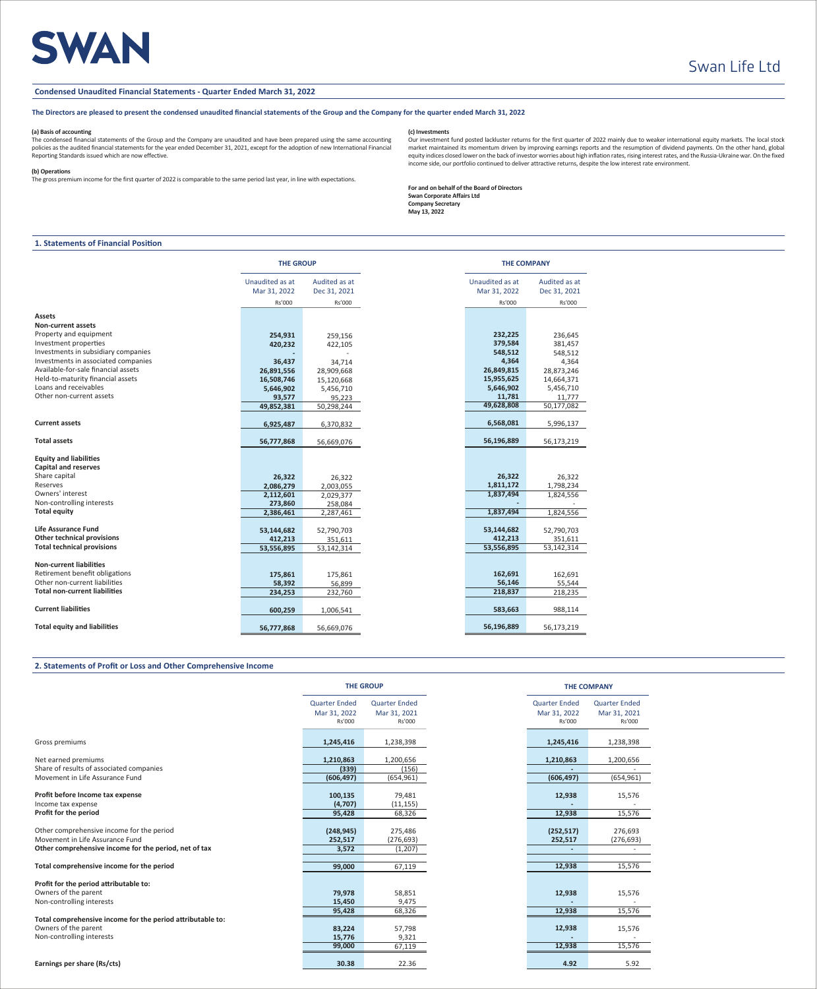# **SWAN**

### **Condensed Unaudited Financial Statements - Quarter Ended March 31, 2022**

# **The Directors are pleased to present the condensed unaudited financial statements of the Group and the Company for the quarter ended March 31, 2022**

### **(a) Basis of accounting**

The condensed financial statements of the Group and the Company are unaudited and have been prepared using the same accounting policies as the audited financial statements for the year ended December 31, 2021, except for the adoption of new International Financial Reporting Standards issued which are now effective.

#### **(b) Operations**

The gross premium income for the first quarter of 2022 is comparable to the same period last year, in line with expectations.

# **(c) Investments**

Our investment fund posted lackluster returns for the first quarter of 2022 mainly due to weaker international equity markets. The local stock market maintained its momentum driven by improving earnings reports and the resumption of dividend payments. On the other hand, global<br>equity indices closed lower on the back of investor worries about high inflation rates, income side, our portfolio continued to deliver attractive returns, despite the low interest rate environment.

**For and on behalf of the Board of Directors Swan Corporate Affairs Ltd Company Secretary May 13, 2022**

# **1. Statements of Financial Position**

|                                                              | <b>THE GROUP</b>                |                               |                                 | <b>THE COMPANY</b>            |  |
|--------------------------------------------------------------|---------------------------------|-------------------------------|---------------------------------|-------------------------------|--|
|                                                              | Unaudited as at<br>Mar 31, 2022 | Audited as at<br>Dec 31, 2021 | Unaudited as at<br>Mar 31, 2022 | Audited as at<br>Dec 31, 2021 |  |
|                                                              | Rs'000                          | Rs'000                        | Rs'000                          | Rs'000                        |  |
| Assets                                                       |                                 |                               |                                 |                               |  |
| Non-current assets                                           |                                 |                               |                                 |                               |  |
| Property and equipment                                       | 254,931                         | 259,156                       | 232,225                         | 236,645                       |  |
| Investment properties                                        | 420,232                         | 422,105                       | 379,584                         | 381,457                       |  |
| Investments in subsidiary companies                          |                                 |                               | 548,512                         | 548,512                       |  |
| Investments in associated companies                          | 36,437                          | 34,714                        | 4,364                           | 4,364                         |  |
| Available-for-sale financial assets                          | 26,891,556                      | 28,909,668                    | 26,849,815                      | 28,873,246                    |  |
| Held-to-maturity financial assets                            | 16,508,746                      | 15,120,668                    | 15,955,625                      | 14,664,371                    |  |
| Loans and receivables                                        | 5,646,902                       | 5,456,710                     | 5,646,902                       | 5,456,710                     |  |
| Other non-current assets                                     | 93,577                          | 95,223                        | 11,781                          | 11,777                        |  |
|                                                              | 49,852,381                      | 50,298,244                    | 49,628,808                      | 50,177,082                    |  |
|                                                              |                                 |                               |                                 |                               |  |
| <b>Current assets</b>                                        | 6,925,487                       | 6,370,832                     | 6,568,081                       | 5,996,137                     |  |
| <b>Total assets</b>                                          | 56,777,868                      | 56,669,076                    | 56,196,889                      | 56,173,219                    |  |
| <b>Equity and liabilities</b><br><b>Capital and reserves</b> |                                 |                               |                                 |                               |  |
| Share capital                                                | 26,322                          | 26,322                        | 26,322                          | 26,322                        |  |
| Reserves                                                     | 2,086,279                       | 2,003,055                     | 1,811,172                       | 1,798,234                     |  |
| Owners' interest                                             | 2,112,601                       | 2,029,377                     | 1,837,494                       | 1,824,556                     |  |
| Non-controlling interests                                    | 273,860                         | 258,084                       |                                 |                               |  |
| <b>Total equity</b>                                          | 2,386,461                       | 2,287,461                     | 1,837,494                       | 1,824,556                     |  |
| <b>Life Assurance Fund</b>                                   | 53,144,682                      | 52,790,703                    | 53,144,682                      | 52,790,703                    |  |
| Other technical provisions                                   | 412,213                         | 351,611                       | 412,213                         | 351,611                       |  |
| <b>Total technical provisions</b>                            | 53,556,895                      | 53,142,314                    | 53,556,895                      | 53,142,314                    |  |
| <b>Non-current liabilities</b>                               |                                 |                               |                                 |                               |  |
| Retirement benefit obligations                               | 175,861                         | 175,861                       | 162,691                         | 162,691                       |  |
| Other non-current liabilities                                | 58,392                          | 56,899                        | 56,146                          | 55,544                        |  |
| <b>Total non-current liabilities</b>                         | 234,253                         | 232,760                       | 218,837                         | 218,235                       |  |
|                                                              |                                 |                               |                                 |                               |  |
| <b>Current liabilities</b>                                   | 600,259                         | 1,006,541                     | 583,663                         | 988,114                       |  |
| <b>Total equity and liabilities</b>                          | 56,777,868                      | 56,669,076                    | 56,196,889                      | 56,173,219                    |  |

### **2. Statements of Profit or Loss and Other Comprehensive Income**

|                                                            |                                                | <b>THE UNUUF</b>                               |
|------------------------------------------------------------|------------------------------------------------|------------------------------------------------|
|                                                            | <b>Quarter Ended</b><br>Mar 31, 2022<br>Rs'000 | <b>Quarter Ended</b><br>Mar 31, 2021<br>Rs'000 |
| Gross premiums                                             | 1,245,416                                      | 1,238,398                                      |
| Net earned premiums                                        | 1,210,863                                      | 1,200,656                                      |
| Share of results of associated companies                   | (339)                                          | (156)                                          |
| Movement in Life Assurance Fund                            | (606, 497)                                     | (654,961)                                      |
|                                                            |                                                |                                                |
| Profit before Income tax expense                           | 100,135                                        | 79,481                                         |
| Income tax expense                                         | (4,707)                                        | (11, 155)                                      |
| Profit for the period                                      | 95,428                                         | 68,326                                         |
|                                                            |                                                |                                                |
| Other comprehensive income for the period                  | (248, 945)                                     | 275,486                                        |
| Movement in Life Assurance Fund                            | 252,517                                        | (276, 693)                                     |
| Other comprehensive income for the period, net of tax      | 3,572                                          | (1,207)                                        |
|                                                            |                                                |                                                |
| Total comprehensive income for the period                  | 99,000                                         | 67,119                                         |
|                                                            |                                                |                                                |
| Profit for the period attributable to:                     |                                                |                                                |
| Owners of the parent                                       | 79,978                                         | 58,851                                         |
| Non-controlling interests                                  | 15,450                                         | 9,475                                          |
|                                                            | 95,428                                         | 68,326                                         |
| Total comprehensive income for the period attributable to: |                                                |                                                |
| Owners of the parent                                       | 83,224                                         | 57,798                                         |
| Non-controlling interests                                  | 15,776                                         | 9,321                                          |
|                                                            | 99,000                                         | 67,119                                         |
| Earnings per share (Rs/cts)                                | 30.38                                          | 22.36                                          |

|                 | <b>THE GROUP</b>     |                      | <b>THE COMPANY</b>   |
|-----------------|----------------------|----------------------|----------------------|
| ded             | <b>Quarter Ended</b> | <b>Quarter Ended</b> | <b>Quarter Ended</b> |
| 022             | Mar 31, 2021         | Mar 31, 2022         | Mar 31, 2021         |
| 000             | Rs'000               | Rs'000               | Rs'000               |
|                 |                      |                      |                      |
| <b>116</b>      | 1,238,398            | 1,245,416            | 1,238,398            |
| 363             | 1,200,656            | 1,210,863            | 1,200,656            |
| 39)             | (156)                |                      |                      |
| 97)             | (654, 961)           | (606, 497)           | (654, 961)           |
|                 |                      |                      |                      |
| <b>135</b>      | 79,481               | 12,938               | 15,576               |
| '07)            | (11, 155)            |                      |                      |
| 128             | 68,326               | 12,938               | 15,576               |
|                 |                      |                      |                      |
| (45             | 275,486              | (252, 517)           | 276,693              |
| 517             | (276, 693)           | 252,517              | (276, 693)           |
| 572             | (1, 207)             |                      |                      |
|                 |                      |                      |                      |
| 00              | 67,119               | 12,938               | 15,576               |
|                 |                      |                      |                      |
| <b>78</b>       | 58,851               | 12,938               | 15,576               |
| 150             | 9,475                |                      |                      |
| 128             | 68,326               | 12,938               | 15,576               |
|                 |                      |                      |                      |
| 24              | 57,798               | 12,938               | 15,576               |
| 76              | 9,321                |                      |                      |
| 00 <sub>0</sub> | 67,119               | 12,938               | 15,576               |
| .38             | 22.36                | 4.92                 | 5.92                 |